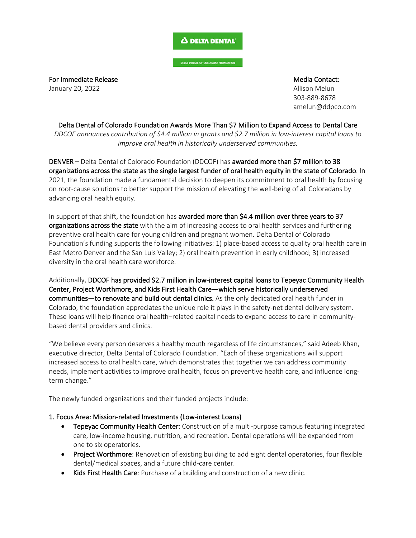## Δ DELTA DENTAL

DELTA DENTAL OF COLORADO FOUNDATION

For Immediate Release **Media Contact:** And The Media Contact: January 20, 2022 **Allison Melun** State of the United States of the United States of Allison Melun

303-889-8678 amelun@ddpco.com

Delta Dental of Colorado Foundation Awards More Than \$7 Million to Expand Access to Dental Care *DDCOF announces contribution of \$4.4 million in grants and \$2.7 million in low-interest capital loans to improve oral health in historically underserved communities.*

DENVER – Delta Dental of Colorado Foundation (DDCOF) has awarded more than \$7 million to 38 organizations across the state as the single largest funder of oral health equity in the state of Colorado. In 2021, the foundation made a fundamental decision to deepen its commitment to oral health by focusing on root-cause solutions to better support the mission of elevating the well-being of all Coloradans by advancing oral health equity.

In support of that shift, the foundation has awarded more than \$4.4 million over three years to 37 organizations across the state with the aim of increasing access to oral health services and furthering preventive oral health care for young children and pregnant women. Delta Dental of Colorado Foundation's funding supports the following initiatives: 1) place-based access to quality oral health care in East Metro Denver and the San Luis Valley; 2) oral health prevention in early childhood; 3) increased diversity in the oral health care workforce.

Additionally, DDCOF has provided \$2.7 million in low-interest capital loans to Tepeyac Community Health Center, Project Worthmore, and Kids First Health Care—which serve historically underserved communities—to renovate and build out dental clinics. As the only dedicated oral health funder in Colorado, the foundation appreciates the unique role it plays in the safety-net dental delivery system. These loans will help finance oral health–related capital needs to expand access to care in communitybased dental providers and clinics.

"We believe every person deserves a healthy mouth regardless of life circumstances," said Adeeb Khan, executive director, Delta Dental of Colorado Foundation. "Each of these organizations will support increased access to oral health care, which demonstrates that together we can address community needs, implement activities to improve oral health, focus on preventive health care, and influence longterm change."

The newly funded organizations and their funded projects include:

# 1. Focus Area: Mission-related Investments (Low-interest Loans)

- Tepeyac Community Health Center: Construction of a multi-purpose campus featuring integrated care, low-income housing, nutrition, and recreation. Dental operations will be expanded from one to six operatories.
- Project Worthmore: Renovation of existing building to add eight dental operatories, four flexible dental/medical spaces, and a future child-care center.
- Kids First Health Care: Purchase of a building and construction of a new clinic.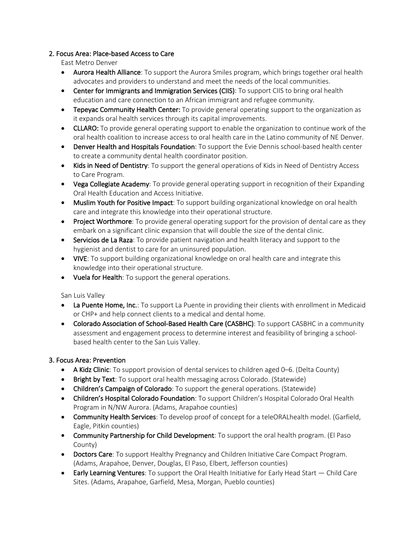## 2. Focus Area: Place-based Access to Care

East Metro Denver

- Aurora Health Alliance: To support the Aurora Smiles program, which brings together oral health advocates and providers to understand and meet the needs of the local communities.
- Center for Immigrants and Immigration Services (CIIS): To support CIIS to bring oral health education and care connection to an African immigrant and refugee community.
- Tepeyac Community Health Center: To provide general operating support to the organization as it expands oral health services through its capital improvements.
- CLLARO: To provide general operating support to enable the organization to continue work of the oral health coalition to increase access to oral health care in the Latino community of NE Denver.
- Denver Health and Hospitals Foundation: To support the Evie Dennis school-based health center to create a community dental health coordinator position.
- Kids in Need of Dentistry: To support the general operations of Kids in Need of Dentistry Access to Care Program.
- Vega Collegiate Academy: To provide general operating support in recognition of their Expanding Oral Health Education and Access Initiative.
- Muslim Youth for Positive Impact: To support building organizational knowledge on oral health care and integrate this knowledge into their operational structure.
- Project Worthmore: To provide general operating support for the provision of dental care as they embark on a significant clinic expansion that will double the size of the dental clinic.
- Servicios de La Raza: To provide patient navigation and health literacy and support to the hygienist and dentist to care for an uninsured population.
- VIVE: To support building organizational knowledge on oral health care and integrate this knowledge into their operational structure.
- Vuela for Health: To support the general operations.

San Luis Valley

- La Puente Home, Inc.: To support La Puente in providing their clients with enrollment in Medicaid or CHP+ and help connect clients to a medical and dental home.
- Colorado Association of School-Based Health Care (CASBHC): To support CASBHC in a community assessment and engagement process to determine interest and feasibility of bringing a schoolbased health center to the San Luis Valley.

# 3. Focus Area: Prevention

- A Kidz Clinic: To support provision of dental services to children aged 0–6. (Delta County)
- Bright by Text: To support oral health messaging across Colorado. (Statewide)
- Children's Campaign of Colorado: To support the general operations. (Statewide)
- Children's Hospital Colorado Foundation: To support Children's Hospital Colorado Oral Health Program in N/NW Aurora. (Adams, Arapahoe counties)
- Community Health Services: To develop proof of concept for a teleORALhealth model. (Garfield, Eagle, Pitkin counties)
- Community Partnership for Child Development: To support the oral health program. (El Paso County)
- Doctors Care: To support Healthy Pregnancy and Children Initiative Care Compact Program. (Adams, Arapahoe, Denver, Douglas, El Paso, Elbert, Jefferson counties)
- Early Learning Ventures: To support the Oral Health Initiative for Early Head Start Child Care Sites. (Adams, Arapahoe, Garfield, Mesa, Morgan, Pueblo counties)